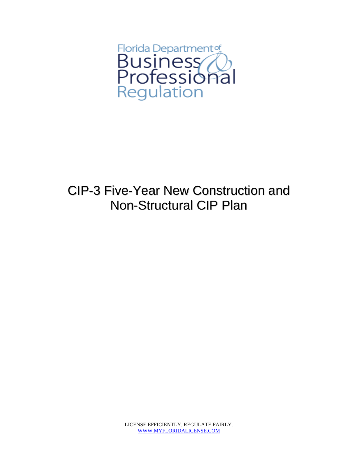

## CIP-3 Five-Year New Construction and Non-Structural CIP Plan

LICENSE EFFICIENTLY. REGULATE FAIRLY. WWW.MYFLORIDALICENSE.COM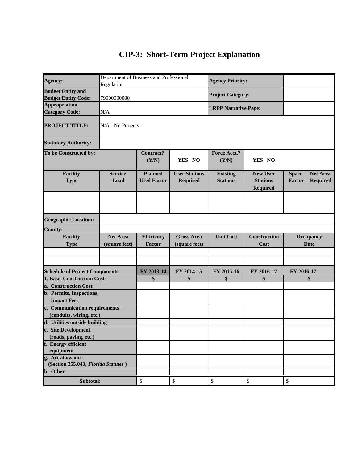## **CIP-3: Short-Term Project Explanation**

| Agency:                                         | Department of Business and Professional |                                      |                                         | <b>Agency Priority:</b>            |                                                       |                        |                                    |  |  |
|-------------------------------------------------|-----------------------------------------|--------------------------------------|-----------------------------------------|------------------------------------|-------------------------------------------------------|------------------------|------------------------------------|--|--|
| <b>Budget Entity and</b>                        | Regulation                              |                                      |                                         |                                    |                                                       |                        |                                    |  |  |
| <b>Budget Entity Code:</b>                      | 79000000000                             |                                      | <b>Project Category:</b>                |                                    |                                                       |                        |                                    |  |  |
| <b>Appropriation</b>                            |                                         |                                      |                                         |                                    |                                                       |                        |                                    |  |  |
| <b>Category Code:</b>                           | N/A                                     |                                      |                                         | <b>LRPP Narrative Page:</b>        |                                                       |                        |                                    |  |  |
| <b>PROJECT TITLE:</b>                           | N/A - No Projects                       |                                      |                                         |                                    |                                                       |                        |                                    |  |  |
| <b>Statutory Authority:</b>                     |                                         |                                      |                                         |                                    |                                                       |                        |                                    |  |  |
| To be Constructed by:                           |                                         | Contract?<br>(Y/N)                   | YES NO                                  | <b>Force Acct.?</b><br>(Y/N)       | YES NO                                                |                        |                                    |  |  |
| <b>Facility</b><br><b>Type</b>                  | <b>Service</b><br>Load                  | <b>Planned</b><br><b>Used Factor</b> | <b>User Stations</b><br><b>Required</b> | <b>Existing</b><br><b>Stations</b> | <b>New User</b><br><b>Stations</b><br><b>Required</b> | <b>Space</b><br>Factor | <b>Net Area</b><br><b>Required</b> |  |  |
|                                                 |                                         |                                      |                                         |                                    |                                                       |                        |                                    |  |  |
| <b>Geographic Location:</b>                     |                                         |                                      |                                         |                                    |                                                       |                        |                                    |  |  |
| <b>County:</b>                                  |                                         |                                      |                                         |                                    |                                                       |                        |                                    |  |  |
| <b>Facility</b>                                 | <b>Net Area</b>                         | <b>Efficiency</b>                    | <b>Gross Area</b>                       | <b>Unit Cost</b>                   | <b>Construction</b>                                   | Occupancy              |                                    |  |  |
| <b>Type</b>                                     | (square feet)                           | Factor                               | (square feet)                           |                                    | Cost                                                  | <b>Date</b>            |                                    |  |  |
|                                                 |                                         |                                      |                                         |                                    |                                                       |                        |                                    |  |  |
|                                                 |                                         |                                      |                                         |                                    |                                                       |                        |                                    |  |  |
| <b>Schedule of Project Components</b>           |                                         | FY 2013-14                           | FY 2014-15                              | FY 2015-16                         | FY 2016-17                                            | FY 2016-17             |                                    |  |  |
| <b>1. Basic Construction Costs</b>              |                                         | \$                                   | \$                                      | \$                                 | \$                                                    | \$                     |                                    |  |  |
| a. Construction Cost                            |                                         |                                      |                                         |                                    |                                                       |                        |                                    |  |  |
| b. Permits, Inspections,<br><b>Impact Fees</b>  |                                         |                                      |                                         |                                    |                                                       |                        |                                    |  |  |
| c. Communication requirements                   |                                         |                                      |                                         |                                    |                                                       |                        |                                    |  |  |
| (conduits, wiring, etc.)                        |                                         |                                      |                                         |                                    |                                                       |                        |                                    |  |  |
| d. Utilities outside building                   |                                         |                                      |                                         |                                    |                                                       |                        |                                    |  |  |
| e. Site Development                             |                                         |                                      |                                         |                                    |                                                       |                        |                                    |  |  |
| (roads, paving, etc.)                           |                                         |                                      |                                         |                                    |                                                       |                        |                                    |  |  |
| f. Energy efficient                             |                                         |                                      |                                         |                                    |                                                       |                        |                                    |  |  |
| equipment                                       |                                         |                                      |                                         |                                    |                                                       |                        |                                    |  |  |
| g. Art allowance                                |                                         |                                      |                                         |                                    |                                                       |                        |                                    |  |  |
| (Section 255.043, Florida Statutes)<br>h. Other |                                         |                                      |                                         |                                    |                                                       |                        |                                    |  |  |
|                                                 |                                         |                                      |                                         |                                    |                                                       |                        |                                    |  |  |
| Subtotal:                                       |                                         | \$                                   | \$                                      | $\mathbb{S}$                       | $\boldsymbol{\mathsf{S}}$                             | \$                     |                                    |  |  |